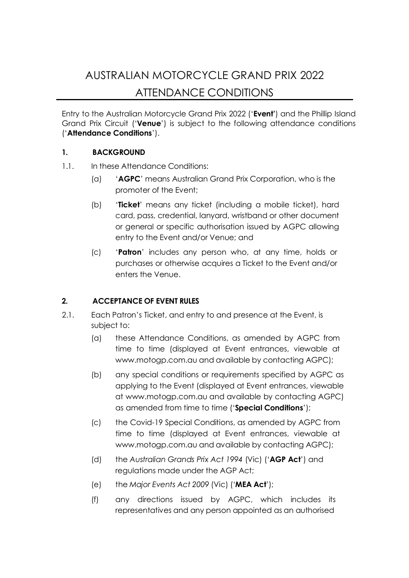# AUSTRALIAN MOTORCYCLE GRAND PRIX 2022 ATTENDANCE CONDITIONS

Entry to the Australian Motorcycle Grand Prix 2022 ('**Event'**) and the Phillip Island Grand Prix Circuit ('**Venue**') is subject to the following attendance conditions ('**Attendance Conditions**').

#### **1. BACKGROUND**

- 1.1. In these Attendance Conditions:
	- (a) '**AGPC**' means Australian Grand Prix Corporation, who is the promoter of the Event;
	- (b) '**Ticket**' means any ticket (including a mobile ticket), hard card, pass, credential, lanyard, wristband or other document or general or specific authorisation issued by AGPC allowing entry to the Event and/or Venue; and
	- (c) '**Patron**' includes any person who, at any time, holds or purchases or otherwise acquires a Ticket to the Event and/or enters the Venue.

#### **2. ACCEPTANCE OF EVENT RULES**

- 2.1. Each Patron's Ticket, and entry to and presence at the Event, is subject to:
	- (a) these Attendance Conditions, as amended by AGPC from time to time (displayed at Event entrances, viewable at [www.motogp.com.au](https://www.motogp.com.au/) and available by contacting AGPC);
	- (b) any special conditions or requirements specified by AGPC as applying to the Event (displayed at Event entrances, viewable at [www.motogp.com.au](https://www.motogp.com.au/) and available by contacting AGPC) as amended from time to time ('**Special Conditions**');
	- (c) the Covid-19 Special Conditions, as amended by AGPC from time to time (displayed at Event entrances, viewable at [www.motogp.com.au](https://www.motogp.com.au/) and available by contacting AGPC);
	- (d) the *Australian Grands Prix Act 1994* (Vic) ('**AGP Act**') and regulations made under the AGP Act;
	- (e) the *Major Events Act 2009* (Vic) ('**MEA Act**');
	- (f) any directions issued by AGPC, which includes its representatives and any person appointed as an authorised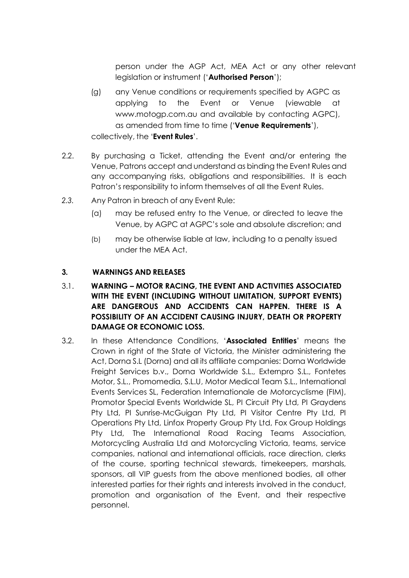person under the AGP Act, MEA Act or any other relevant legislation or instrument ('**Authorised Person**');

- (g) any Venue conditions or requirements specified by AGPC as applying to the Event or Venue (viewable at [www.motogp.com.au](https://www.motogp.com.au/) and available by contacting AGPC), as amended from time to time ('**Venue Requirements**'), collectively, the '**Event Rules**'.
- 2.2. By purchasing a Ticket, attending the Event and/or entering the Venue, Patrons accept and understand as binding the Event Rules and any accompanying risks, obligations and responsibilities. It is each Patron's responsibility to inform themselves of all the Event Rules.
- *2.3.* Any Patron in breach of any Event Rule:
	- (a) may be refused entry to the Venue, or directed to leave the Venue, by AGPC at AGPC's sole and absolute discretion; and
	- (b) may be otherwise liable at law, including to a penalty issued under the MEA Act.

#### **3. WARNINGS AND RELEASES**

#### 3.1. **WARNING – MOTOR RACING, THE EVENT AND ACTIVITIES ASSOCIATED WITH THE EVENT (INCLUDING WITHOUT LIMITATION, SUPPORT EVENTS) ARE DANGEROUS AND ACCIDENTS CAN HAPPEN. THERE IS A POSSIBILITY OF AN ACCIDENT CAUSING INJURY, DEATH OR PROPERTY DAMAGE OR ECONOMIC LOSS.**

3.2. In these Attendance Conditions, '**Associated Entities**' means the Crown in right of the State of Victoria, the Minister administering the Act, Dorna S.L (Dorna) and all its affiliate companies: Dorna Worldwide Freight Services b.v., Dorna Worldwide S.L., Externpro S.L., Fontetes Motor, S.L., Promomedia, S.L.U, Motor Medical Team S.L., International Events Services SL, Federation Internationale de Motorcyclisme (FIM), Promotor Special Events Worldwide SL, PI Circuit Pty Ltd, PI Graydens Pty Ltd, PI Sunrise-McGuigan Pty Ltd, PI Visitor Centre Pty Ltd, PI Operations Pty Ltd, Linfox Property Group Pty Ltd, Fox Group Holdings Pty Ltd, The International Road Racing Teams Association, Motorcycling Australia Ltd and Motorcycling Victoria, teams, service companies, national and international officials, race direction, clerks of the course, sporting technical stewards, timekeepers, marshals, sponsors, all VIP guests from the above mentioned bodies, all other interested parties for their rights and interests involved in the conduct, promotion and organisation of the Event, and their respective personnel.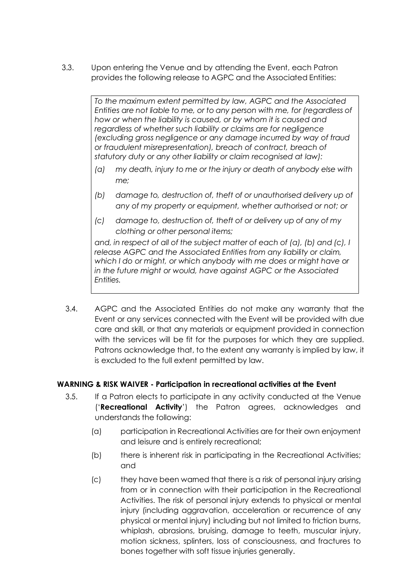3.3. Upon entering the Venue and by attending the Event, each Patron provides the following release to AGPC and the Associated Entities:

> *To the maximum extent permitted by law, AGPC and the Associated Entities are not liable to me, or to any person with me, for (regardless of how or when the liability is caused, or by whom it is caused and regardless of whether such liability or claims are for negligence (excluding gross negligence or any damage incurred by way of fraud or fraudulent misrepresentation), breach of contract, breach of statutory duty or any other liability or claim recognised at law):*

- *(a) my death, injury to me or the injury or death of anybody else with me;*
- *(b) damage to, destruction of, theft of or unauthorised delivery up of any of my property or equipment, whether authorised or not; or*
- *(c) damage to, destruction of, theft of or delivery up of any of my clothing or other personal items;*

*and, in respect of all of the subject matter of each of (a), (b) and (c), I release AGPC and the Associated Entities from any liability or claim, which I do or might, or which anybody with me does or might have or in the future might or would, have against AGPC or the Associated Entities.*

3.4. AGPC and the Associated Entities do not make any warranty that the Event or any services connected with the Event will be provided with due care and skill, or that any materials or equipment provided in connection with the services will be fit for the purposes for which they are supplied. Patrons acknowledge that, to the extent any warranty is implied by law, it is excluded to the full extent permitted by law.

#### **WARNING & RISK WAIVER - Participation in recreational activities at the Event**

- 3.5. If a Patron elects to participate in any activity conducted at the Venue ('**Recreational Activity**') the Patron agrees, acknowledges and understands the following:
	- (a) participation in Recreational Activities are for their own enjoyment and leisure and is entirely recreational;
	- (b) there is inherent risk in participating in the Recreational Activities; and
	- (c) they have been warned that there is a risk of personal injury arising from or in connection with their participation in the Recreational Activities. The risk of personal injury extends to physical or mental injury (including aggravation, acceleration or recurrence of any physical or mental injury) including but not limited to friction burns, whiplash, abrasions, bruising, damage to teeth, muscular injury, motion sickness, splinters, loss of consciousness, and fractures to bones together with soft tissue injuries generally.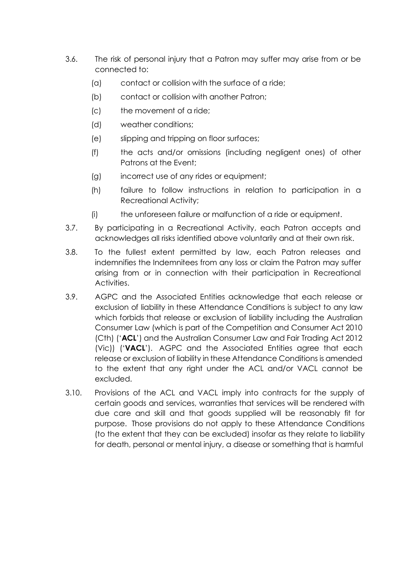- 3.6. The risk of personal injury that a Patron may suffer may arise from or be connected to:
	- (a) contact or collision with the surface of a ride;
	- (b) contact or collision with another Patron;
	- (c) the movement of a ride;
	- (d) weather conditions;
	- (e) slipping and tripping on floor surfaces;
	- (f) the acts and/or omissions (including negligent ones) of other Patrons at the Event;
	- (g) incorrect use of any rides or equipment;
	- (h) failure to follow instructions in relation to participation in a Recreational Activity;
	- (i) the unforeseen failure or malfunction of a ride or equipment.
- 3.7. By participating in a Recreational Activity, each Patron accepts and acknowledges all risks identified above voluntarily and at their own risk.
- 3.8. To the fullest extent permitted by law, each Patron releases and indemnifies the Indemnitees from any loss or claim the Patron may suffer arising from or in connection with their participation in Recreational Activities.
- 3.9. AGPC and the Associated Entities acknowledge that each release or exclusion of liability in these Attendance Conditions is subject to any law which forbids that release or exclusion of liability including the Australian Consumer Law (which is part of the Competition and Consumer Act 2010 (Cth) ('**ACL**') and the Australian Consumer Law and Fair Trading Act 2012 (Vic)) ('**VACL**'). AGPC and the Associated Entities agree that each release or exclusion of liability in these Attendance Conditions is amended to the extent that any right under the ACL and/or VACL cannot be excluded.
- 3.10. Provisions of the ACL and VACL imply into contracts for the supply of certain goods and services, warranties that services will be rendered with due care and skill and that goods supplied will be reasonably fit for purpose. Those provisions do not apply to these Attendance Conditions (to the extent that they can be excluded) insofar as they relate to liability for death, personal or mental injury, a disease or something that is harmful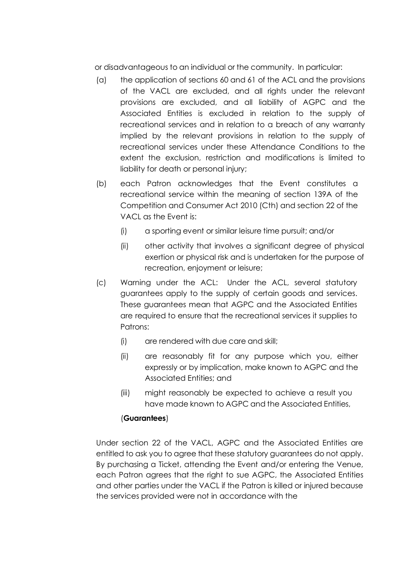or disadvantageous to an individual or the community. In particular:

- (a) the application of sections 60 and 61 of the ACL and the provisions of the VACL are excluded, and all rights under the relevant provisions are excluded, and all liability of AGPC and the Associated Entities is excluded in relation to the supply of recreational services and in relation to a breach of any warranty implied by the relevant provisions in relation to the supply of recreational services under these Attendance Conditions to the extent the exclusion, restriction and modifications is limited to liability for death or personal injury;
- (b) each Patron acknowledges that the Event constitutes a recreational service within the meaning of section 139A of the Competition and Consumer Act 2010 (Cth) and section 22 of the VACL as the Event is:
	- (i) a sporting event or similar leisure time pursuit; and/or
	- (ii) other activity that involves a significant degree of physical exertion or physical risk and is undertaken for the purpose of recreation, enjoyment or leisure;
- (c) Warning under the ACL: Under the ACL, several statutory guarantees apply to the supply of certain goods and services. These guarantees mean that AGPC and the Associated Entities are required to ensure that the recreational services it supplies to Patrons:
	- (i) are rendered with due care and skill;
	- (ii) are reasonably fit for any purpose which you, either expressly or by implication, make known to AGPC and the Associated Entities; and
	- (iii) might reasonably be expected to achieve a result you have made known to AGPC and the Associated Entities,

#### (**Guarantees**)

Under section 22 of the VACL, AGPC and the Associated Entities are entitled to ask you to agree that these statutory guarantees do not apply. By purchasing a Ticket, attending the Event and/or entering the Venue, each Patron agrees that the right to sue AGPC, the Associated Entities and other parties under the VACL if the Patron is killed or injured because the services provided were not in accordance with the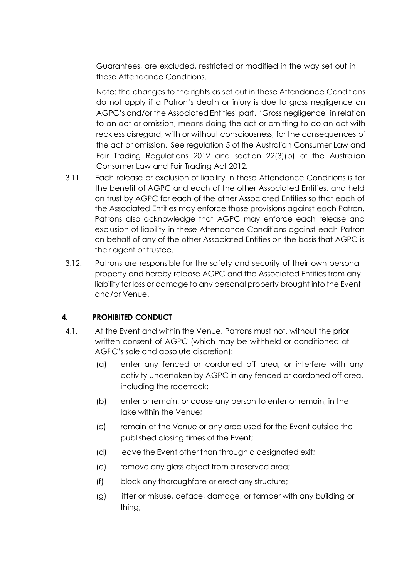Guarantees, are excluded, restricted or modified in the way set out in these Attendance Conditions.

Note: the changes to the rights as set out in these Attendance Conditions do not apply if a Patron's death or injury is due to gross negligence on AGPC's and/or the Associated Entities' part. 'Gross negligence' in relation to an act or omission, means doing the act or omitting to do an act with reckless disregard, with or without consciousness, for the consequences of the act or omission. See regulation 5 of the Australian Consumer Law and Fair Trading Regulations 2012 and section 22(3)(b) of the Australian Consumer Law and Fair Trading Act 2012.

- 3.11. Each release or exclusion of liability in these Attendance Conditions is for the benefit of AGPC and each of the other Associated Entities, and held on trust by AGPC for each of the other Associated Entities so that each of the Associated Entities may enforce those provisions against each Patron. Patrons also acknowledge that AGPC may enforce each release and exclusion of liability in these Attendance Conditions against each Patron on behalf of any of the other Associated Entities on the basis that AGPC is their agent or trustee.
- 3.12. Patrons are responsible for the safety and security of their own personal property and hereby release AGPC and the Associated Entities from any liability for loss or damage to any personal property brought into the Event and/or Venue.

#### **4. PROHIBITED CONDUCT**

- <span id="page-5-0"></span>4.1. At the Event and within the Venue, Patrons must not, without the prior written consent of AGPC (which may be withheld or conditioned at AGPC's sole and absolute discretion):
	- (a) enter any fenced or cordoned off area, or interfere with any activity undertaken by AGPC in any fenced or cordoned off area, including the racetrack;
	- (b) enter or remain, or cause any person to enter or remain, in the lake within the Venue;
	- (c) remain at the Venue or any area used for the Event outside the published closing times of the Event;
	- (d) leave the Event other than through a designated exit;
	- (e) remove any glass object from a reserved area;
	- (f) block any thoroughfare or erect any structure;
	- (g) litter or misuse, deface, damage, or tamper with any building or thing;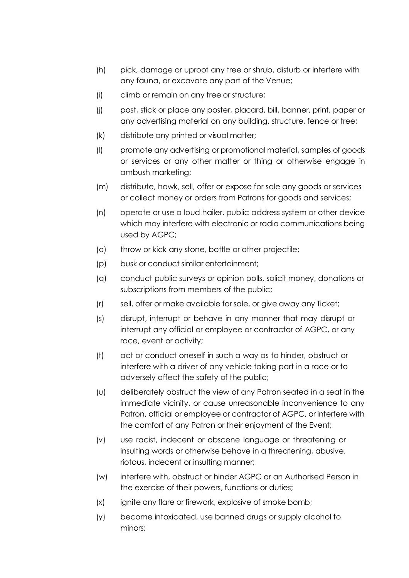- (h) pick, damage or uproot any tree or shrub, disturb or interfere with any fauna, or excavate any part of the Venue;
- (i) climb or remain on any tree or structure;
- (j) post, stick or place any poster, placard, bill, banner, print, paper or any advertising material on any building, structure, fence or tree;
- (k) distribute any printed or visual matter;
- (l) promote any advertising or promotional material, samples of goods or services or any other matter or thing or otherwise engage in ambush marketing;
- (m) distribute, hawk, sell, offer or expose for sale any goods or services or collect money or orders from Patrons for goods and services;
- (n) operate or use a loud hailer, public address system or other device which may interfere with electronic or radio communications being used by AGPC;
- (o) throw or kick any stone, bottle or other projectile;
- (p) busk or conduct similar entertainment;
- (q) conduct public surveys or opinion polls, solicit money, donations or subscriptions from members of the public;
- (r) sell, offer or make available for sale, or give away any Ticket;
- (s) disrupt, interrupt or behave in any manner that may disrupt or interrupt any official or employee or contractor of AGPC, or any race, event or activity;
- (t) act or conduct oneself in such a way as to hinder, obstruct or interfere with a driver of any vehicle taking part in a race or to adversely affect the safety of the public;
- <span id="page-6-0"></span>(u) deliberately obstruct the view of any Patron seated in a seat in the immediate vicinity, or cause unreasonable inconvenience to any Patron, official or employee or contractor of AGPC, or interfere with the comfort of any Patron or their enjoyment of the Event;
- (v) use racist, indecent or obscene language or threatening or insulting words or otherwise behave in a threatening, abusive, riotous, indecent or insulting manner;
- (w) interfere with, obstruct or hinder AGPC or an Authorised Person in the exercise of their powers, functions or duties;
- (x) ignite any flare or firework, explosive of smoke bomb;
- (y) become intoxicated, use banned drugs or supply alcohol to minors;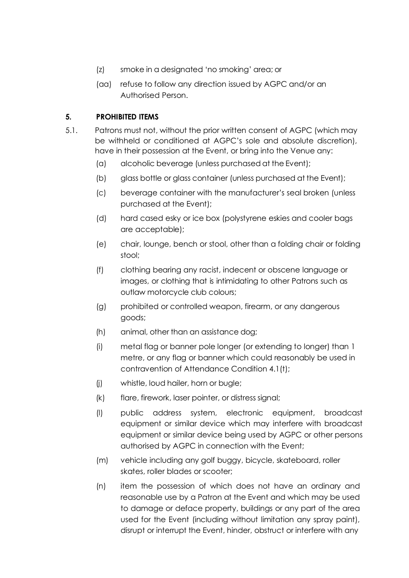- (z) smoke in a designated 'no smoking' area; or
- <span id="page-7-0"></span>(aa) refuse to follow any direction issued by AGPC and/or an Authorised Person.

# **5. PROHIBITED ITEMS**

- 5.1. Patrons must not, without the prior written consent of AGPC (which may be withheld or conditioned at AGPC's sole and absolute discretion), have in their possession at the Event, or bring into the Venue any:
	- (a) alcoholic beverage (unless purchased at the Event);
	- (b) glass bottle or glass container (unless purchased at the Event);
	- (c) beverage container with the manufacturer's seal broken (unless purchased at the Event);
	- (d) hard cased esky or ice box (polystyrene eskies and cooler bags are acceptable);
	- (e) chair, lounge, bench or stool, other than a folding chair or folding stool;
	- (f) clothing bearing any racist, indecent or obscene language or images, or clothing that is intimidating to other Patrons such as outlaw motorcycle club colours;
	- (g) prohibited or controlled weapon, firearm, or any dangerous goods;
	- (h) animal, other than an assistance dog;
	- (i) metal flag or banner pole longer (or extending to longer) than 1 metre, or any flag or banner which could reasonably be used in contravention of Attendance Conditio[n 4.1](#page-5-0)[\(t\);](#page-6-0)
	- (j) whistle, loud hailer, horn or bugle;
	- (k) flare, firework, laser pointer, or distress signal;
	- (l) public address system, electronic equipment, broadcast equipment or similar device which may interfere with broadcast equipment or similar device being used by AGPC or other persons authorised by AGPC in connection with the Event;
	- (m) vehicle including any golf buggy, bicycle, skateboard, roller skates, roller blades or scooter;
	- (n) item the possession of which does not have an ordinary and reasonable use by a Patron at the Event and which may be used to damage or deface property, buildings or any part of the area used for the Event (including without limitation any spray paint), disrupt or interrupt the Event, hinder, obstruct or interfere with any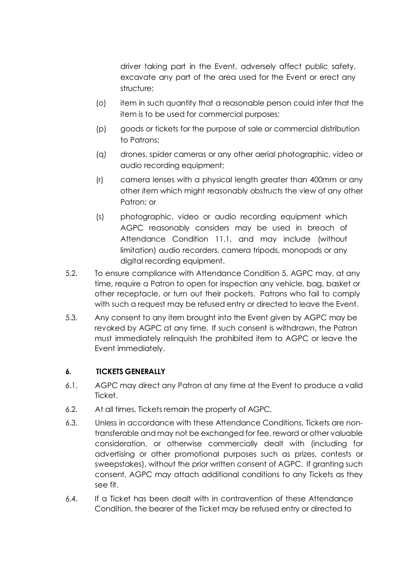driver taking part in the Event, adversely affect public safety, excavate any part of the area used for the Event or erect any structure;

- (o) item in such quantity that a reasonable person could infer that the item is to be used for commercial purposes;
- (p) goods or tickets for the purpose of sale or commercial distribution to Patrons;
- (q) drones, spider cameras or any other aerial photographic, video or audio recording equipment;
- (r) camera lenses with a physical length greater than 400mm or any other item which might reasonably obstructs the view of any other Patron; or
- (s) photographic, video or audio recording equipment which AGPC reasonably considers may be used in breach of Attendance Condition [11.1, a](#page-13-0)nd may include (without limitation) audio recorders, camera tripods, monopods or any digital recording equipment.
- 5.2. To ensure compliance with Attendance Condition [5,](#page-7-0) AGPC may, at any time, require a Patron to open for inspection any vehicle, bag, basket or other receptacle, or turn out their pockets. Patrons who fail to comply with such a request may be refused entry or directed to leave the Event.
- 5.3. Any consent to any item brought into the Event given by AGPC may be revoked by AGPC at any time. If such consent is withdrawn, the Patron must immediately relinquish the prohibited item to AGPC or leave the Event immediately.

#### **6. TICKETS GENERALLY**

- 6.1. AGPC may direct any Patron at any time at the Event to produce a valid Ticket.
- 6.2. At all times, Tickets remain the property of AGPC.
- 6.3. Unless in accordance with these Attendance Conditions, Tickets are nontransferable and may not be exchanged for fee, reward or other valuable consideration, or otherwise commercially dealt with (including for advertising or other promotional purposes such as prizes, contests or sweepstakes), without the prior written consent of AGPC. If granting such consent, AGPC may attach additional conditions to any Tickets as they see fit.
- 6.4. If a Ticket has been dealt with in contravention of these Attendance Condition, the bearer of the Ticket may be refused entry or directed to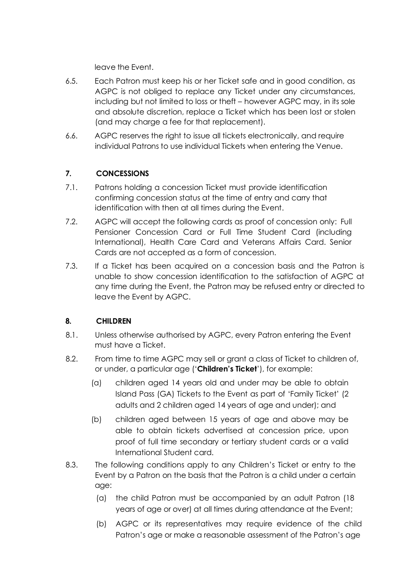leave the Event.

- 6.5. Each Patron must keep his or her Ticket safe and in good condition, as AGPC is not obliged to replace any Ticket under any circumstances, including but not limited to loss or theft – however AGPC may, in its sole and absolute discretion, replace a Ticket which has been lost or stolen (and may charge a fee for that replacement).
- 6.6. AGPC reserves the right to issue all tickets electronically, and require individual Patrons to use individual Tickets when entering the Venue.

## **7. CONCESSIONS**

- 7.1. Patrons holding a concession Ticket must provide identification confirming concession status at the time of entry and carry that identification with then at all times during the Event.
- 7.2. AGPC will accept the following cards as proof of concession only: Full Pensioner Concession Card or Full Time Student Card (including International), Health Care Card and Veterans Affairs Card. Senior Cards are not accepted as a form of concession.
- 7.3. If a Ticket has been acquired on a concession basis and the Patron is unable to show concession identification to the satisfaction of AGPC at any time during the Event, the Patron may be refused entry or directed to leave the Event by AGPC.

#### **8. CHILDREN**

- 8.1. Unless otherwise authorised by AGPC, every Patron entering the Event must have a Ticket.
- 8.2. From time to time AGPC may sell or grant a class of Ticket to children of, or under, a particular age ('**Children's Ticket**'), for example:
	- (a) children aged 14 years old and under may be able to obtain Island Pass (GA) Tickets to the Event as part of 'Family Ticket' (2 adults and 2 children aged 14 years of age and under); and
	- (b) children aged between 15 years of age and above may be able to obtain tickets advertised at concession price, upon proof of full time secondary or tertiary student cards or a valid International Student card.
- 8.3. The following conditions apply to any Children's Ticket or entry to the Event by a Patron on the basis that the Patron is a child under a certain age:
	- (a) the child Patron must be accompanied by an adult Patron (18 years of age or over) at all times during attendance at the Event;
	- (b) AGPC or its representatives may require evidence of the child Patron's age or make a reasonable assessment of the Patron's age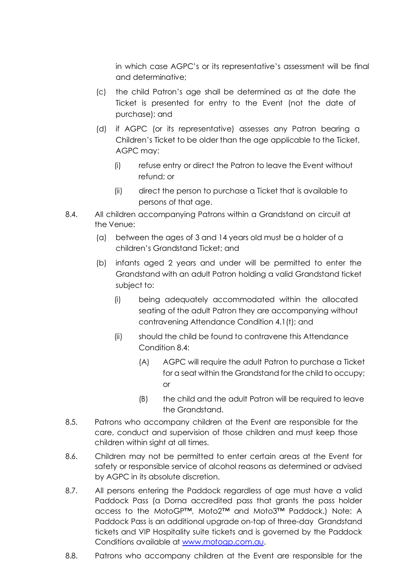in which case AGPC's or its representative's assessment will be final and determinative;

- (c) the child Patron's age shall be determined as at the date the Ticket is presented for entry to the Event (not the date of purchase); and
- (d) if AGPC (or its representative) assesses any Patron bearing a Children's Ticket to be older than the age applicable to the Ticket, AGPC may:
	- (i) refuse entry or direct the Patron to leave the Event without refund; or
	- (ii) direct the person to purchase a Ticket that is available to persons of that age.
- <span id="page-10-0"></span>8.4. All children accompanying Patrons within a Grandstand on circuit at the Venue:
	- (a) between the ages of 3 and 14 years old must be a holder of a children's Grandstand Ticket; and
	- (b) infants aged 2 years and under will be permitted to enter the Grandstand with an adult Patron holding a valid Grandstand ticket subject to:
		- (i) being adequately accommodated within the allocated seating of the adult Patron they are accompanying without contravening Attendance Conditio[n 4.1](#page-5-0)[\(t\); a](#page-6-0)nd
		- (ii) should the child be found to contravene this Attendance Condition [8.4:](#page-10-0)
			- (A) AGPC will require the adult Patron to purchase a Ticket for a seat within the Grandstand for the child to occupy; or
			- (B) the child and the adult Patron will be required to leave the Grandstand.
- 8.5. Patrons who accompany children at the Event are responsible for the care, conduct and supervision of those children and must keep those children within sight at all times.
- 8.6. Children may not be permitted to enter certain areas at the Event for safety or responsible service of alcohol reasons as determined or advised by AGPC in its absolute discretion.
- 8.7. All persons entering the Paddock regardless of age must have a valid Paddock Pass (a Dorna accredited pass that grants the pass holder access to the MotoGP™, Moto2™ and Moto3™ Paddock.) Note: A Paddock Pass is an additional upgrade on-top of three-day Grandstand tickets and VIP Hospitality suite tickets and is governed by the Paddock Conditions available at [www.motogp.com.au.](http://www.motogp.com.au/)
- 8.8. Patrons who accompany children at the Event are responsible for the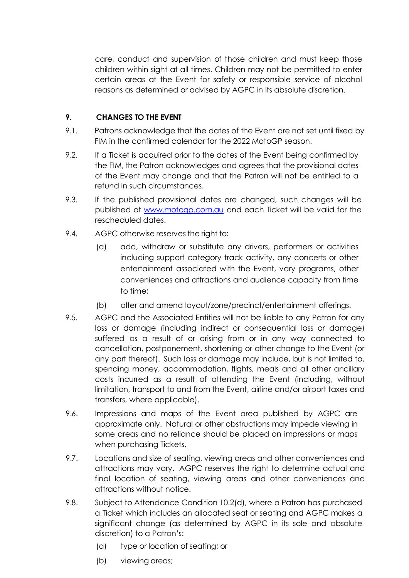care, conduct and supervision of those children and must keep those children within sight at all times. Children may not be permitted to enter certain areas at the Event for safety or responsible service of alcohol reasons as determined or advised by AGPC in its absolute discretion.

## **9. CHANGES TO THE EVENT**

- 9.1. Patrons acknowledge that the dates of the Event are not set until fixed by FIM in the confirmed calendar for the 2022 MotoGP season.
- 9.2. If a Ticket is acquired prior to the dates of the Event being confirmed by the FIM, the Patron acknowledges and agrees that the provisional dates of the Event may change and that the Patron will not be entitled to a refund in such circumstances.
- 9.3. If the published provisional dates are changed, such changes will be published at [www.motogp.com.au](http://www.motogp.com.au/) and each Ticket will be valid for the rescheduled dates.
- 9.4. AGPC otherwise reserves the right to:
	- (a) add, withdraw or substitute any drivers, performers or activities including support category track activity, any concerts or other entertainment associated with the Event, vary programs, other conveniences and attractions and audience capacity from time to time;
	- (b) alter and amend layout/zone/precinct/entertainment offerings.
- 9.5. AGPC and the Associated Entities will not be liable to any Patron for any loss or damage (including indirect or consequential loss or damage) suffered as a result of or arising from or in any way connected to cancellation, postponement, shortening or other change to the Event (or any part thereof). Such loss or damage may include, but is not limited to, spending money, accommodation, flights, meals and all other ancillary costs incurred as a result of attending the Event (including, without limitation, transport to and from the Event, airline and/or airport taxes and transfers, where applicable).
- 9.6. Impressions and maps of the Event area published by AGPC are approximate only. Natural or other obstructions may impede viewing in some areas and no reliance should be placed on impressions or maps when purchasing Tickets.
- 9.7. Locations and size of seating, viewing areas and other conveniences and attractions may vary. AGPC reserves the right to determine actual and final location of seating, viewing areas and other conveniences and attractions without notice.
- 9.8. Subject to Attendance Condition [10.2](#page-12-0)[\(d\),](#page-13-1) where a Patron has purchased a Ticket which includes an allocated seat or seating and AGPC makes a significant change (as determined by AGPC in its sole and absolute discretion) to a Patron's:
	- (a) type or location of seating; or
	- (b) viewing areas;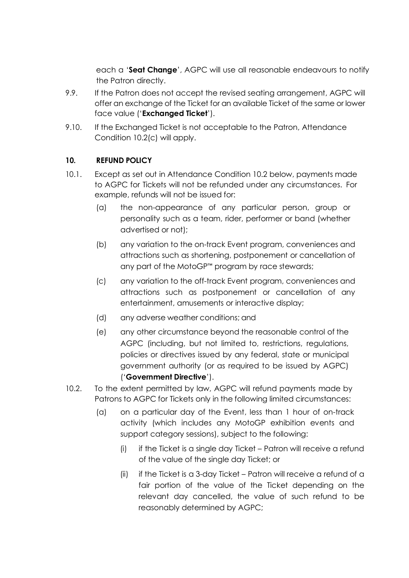each a '**Seat Change**', AGPC will use all reasonable endeavours to notify the Patron directly.

- 9.9. If the Patron does not accept the revised seating arrangement, AGPC will offer an exchange of the Ticket for an available Ticket of the same or lower face value ('**Exchanged Ticket**').
- 9.10. If the Exchanged Ticket is not acceptable to the Patron, Attendance Condition [10.2](#page-12-0)[\(c\) w](#page-13-1)ill apply.

#### **10. REFUND POLICY**

- 10.1. Except as set out in Attendance Condition [10.2](#page-12-0) below, payments made to AGPC for Tickets will not be refunded under any circumstances. For example, refunds will not be issued for:
	- (a) the non-appearance of any particular person, group or personality such as a team, rider, performer or band (whether advertised or not);
	- (b) any variation to the on-track Event program, conveniences and attractions such as shortening, postponement or cancellation of any part of the MotoGP™ program by race stewards;
	- (c) any variation to the off-track Event program, conveniences and attractions such as postponement or cancellation of any entertainment, amusements or interactive display;
	- (d) any adverse weather conditions; and
	- (e) any other circumstance beyond the reasonable control of the AGPC (including, but not limited to, restrictions, regulations, policies or directives issued by any federal, state or municipal government authority (or as required to be issued by AGPC) ('**Government Directive**').
- <span id="page-12-0"></span>10.2. To the extent permitted by law, AGPC will refund payments made by Patrons to AGPC for Tickets only in the following limited circumstances:
	- (a) on a particular day of the Event, less than 1 hour of on-track activity (which includes any MotoGP exhibition events and support category sessions), subject to the following:
		- (i) if the Ticket is a single day Ticket Patron will receive a refund of the value of the single day Ticket; or
		- (ii) if the Ticket is a 3-day Ticket Patron will receive a refund of a fair portion of the value of the Ticket depending on the relevant day cancelled, the value of such refund to be reasonably determined by AGPC;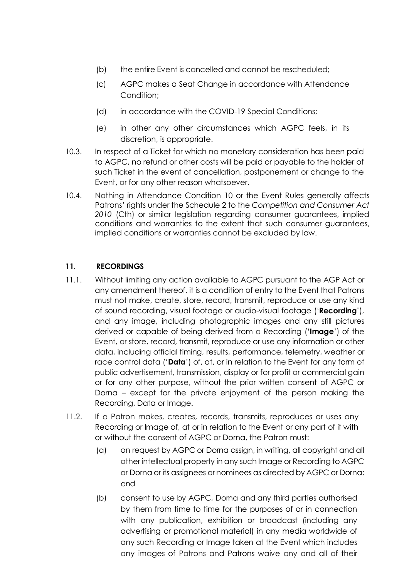- (b) the entire Event is cancelled and cannot be rescheduled;
- <span id="page-13-1"></span>(c) AGPC makes a Seat Change in accordance with Attendance Condition;
- (d) in accordance with the COVID-19 Special Conditions;
- (e) in other any other circumstances which AGPC feels, in its discretion, is appropriate.
- 10.3. In respect of a Ticket for which no monetary consideration has been paid to AGPC, no refund or other costs will be paid or payable to the holder of such Ticket in the event of cancellation, postponement or change to the Event, or for any other reason whatsoever.
- 10.4. Nothing in Attendance Condition 10 or the Event Rules generally affects Patrons' rights under the Schedule 2 to the *Competition and Consumer Act 2010* (Cth) or similar legislation regarding consumer guarantees, implied conditions and warranties to the extent that such consumer guarantees, implied conditions or warranties cannot be excluded by law.

#### **11. RECORDINGS**

- <span id="page-13-0"></span>11.1. Without limiting any action available to AGPC pursuant to the AGP Act or any amendment thereof, it is a condition of entry to the Event that Patrons must not make, create, store, record, transmit, reproduce or use any kind of sound recording, visual footage or audio-visual footage ('**Recording**'), and any image, including photographic images and any still pictures derived or capable of being derived from a Recording ('**Image**') of the Event, or store, record, transmit, reproduce or use any information or other data, including official timing, results, performance, telemetry, weather or race control data ('**Data**') of, at, or in relation to the Event for any form of public advertisement, transmission, display or for profit or commercial gain or for any other purpose, without the prior written consent of AGPC or Dorna – except for the private enjoyment of the person making the Recording, Data or Image.
- 11.2. If a Patron makes, creates, records, transmits, reproduces or uses any Recording or Image of, at or in relation to the Event or any part of it with or without the consent of AGPC or Dorna, the Patron must:
	- (a) on request by AGPC or Dorna assign, in writing, all copyright and all other intellectual property in any such Image or Recording to AGPC or Dorna or its assignees or nominees as directed by AGPC or Dorna; and
	- (b) consent to use by AGPC, Dorna and any third parties authorised by them from time to time for the purposes of or in connection with any publication, exhibition or broadcast (including any advertising or promotional material) in any media worldwide of any such Recording or Image taken at the Event which includes any images of Patrons and Patrons waive any and all of their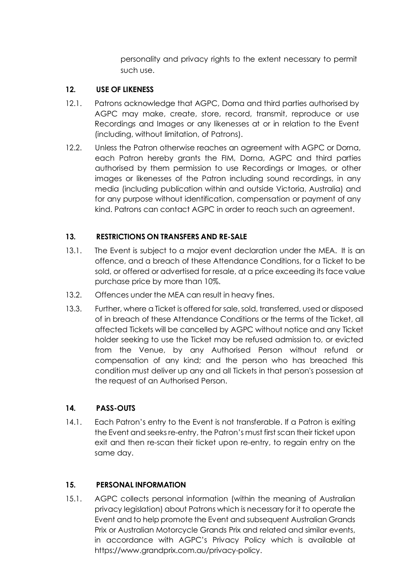personality and privacy rights to the extent necessary to permit such use.

#### **12. USE OF LIKENESS**

- 12.1. Patrons acknowledge that AGPC, Dorna and third parties authorised by AGPC may make, create, store, record, transmit, reproduce or use Recordings and Images or any likenesses at or in relation to the Event (including, without limitation, of Patrons).
- 12.2. Unless the Patron otherwise reaches an agreement with AGPC or Dorna, each Patron hereby grants the FIM, Dorna, AGPC and third parties authorised by them permission to use Recordings or Images, or other images or likenesses of the Patron including sound recordings, in any media (including publication within and outside Victoria, Australia) and for any purpose without identification, compensation or payment of any kind. Patrons can contact AGPC in order to reach such an agreement.

#### **13. RESTRICTIONS ON TRANSFERS AND RE-SALE**

- 13.1. The Event is subject to a major event declaration under the MEA. It is an offence, and a breach of these Attendance Conditions, for a Ticket to be sold, or offered or advertised for resale, at a price exceeding its face value purchase price by more than 10%.
- 13.2. Offences under the MEA can result in heavy fines.
- 13.3. Further, where a Ticket is offered for sale, sold, transferred, used or disposed of in breach of these Attendance Conditions or the terms of the Ticket, all affected Tickets will be cancelled by AGPC without notice and any Ticket holder seeking to use the Ticket may be refused admission to, or evicted from the Venue, by any Authorised Person without refund or compensation of any kind; and the person who has breached this condition must deliver up any and all Tickets in that person's possession at the request of an Authorised Person.

#### **14. PASS-OUTS**

14.1. Each Patron's entry to the Event is not transferable. If a Patron is exiting the Event and seeks re-entry, the Patron's must first scan their ticket upon exit and then re-scan their ticket upon re-entry, to regain entry on the same day.

#### **15. PERSONAL INFORMATION**

15.1. AGPC collects personal information (within the meaning of Australian privacy legislation) about Patrons which is necessary for it to operate the Event and to help promote the Event and subsequent Australian Grands Prix or Australian Motorcycle Grands Prix and related and similar events, in accordance with AGPC's Privacy Policy which is available at https://www.grandprix.com.au/privacy-policy.